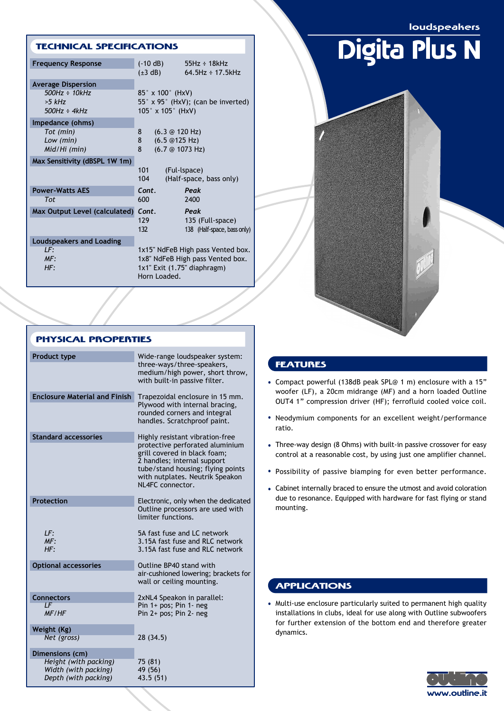loudspeakers

### TECHNICAL SPECIFICATIONS

| <b>Frequency Response</b>                                                        | $(-10 dB)$<br>$55Hz \div 18kHz$<br>$64.5$ Hz ÷ 17.5kHz<br>$(\pm 3$ dB)                                               |  |
|----------------------------------------------------------------------------------|----------------------------------------------------------------------------------------------------------------------|--|
| <b>Average Dispersion</b><br>$500Hz \div 10kHz$<br>$>5$ kHz<br>$500Hz \div 4kHz$ | $85^\circ \times 100^\circ$ (HxV)<br>55° x 95° (HxV); (can be inverted)<br>$105^\circ \times 105^\circ$ (HxV)        |  |
| Impedance (ohms)<br>Tot (min)<br>Low (min)<br>Mid/Hi (min)                       | 8<br>$(6.3 \circledcirc 120$ Hz)<br>8<br>(6.5@125 Hz)<br>8<br>(6.7@1073 Hz)                                          |  |
| Max Sensitivity (dBSPL 1W 1m)                                                    | 101<br>(Ful-Ispace)<br>104<br>(Half-space, bass only)                                                                |  |
| <b>Power-Watts AES</b><br><b>Tot</b>                                             | Cont.<br>Peak<br>600<br>2400                                                                                         |  |
| Max Output Level (calculated)                                                    | Cont.<br>Peak<br>129<br>135 (Full-space)<br>132<br>138 (Half-space, bass only)                                       |  |
| Loudspeakers and Loading<br>LF:<br>MF:<br>HF:                                    | 1x15" NdFeB High pass Vented box.<br>1x8" NdFeB High pass Vented box.<br>1x1" Exit (1.75" diaphragm)<br>Horn Loaded. |  |

| <b>PHYSICAL PROPERTIES</b>           |                                                                                                                                                                                                                               |                                              |
|--------------------------------------|-------------------------------------------------------------------------------------------------------------------------------------------------------------------------------------------------------------------------------|----------------------------------------------|
| <b>Product type</b>                  | Wide-range loudspeaker system:<br>three-ways/three-speakers,<br>medium/high power, short throw,<br>with built-in passive filter.                                                                                              | FF.<br>Con                                   |
| <b>Enclosure Material and Finish</b> | Trapezoidal enclosure in 15 mm.<br>Plywood with internal bracing,<br>rounded corners and integral<br>handles. Scratchproof paint.                                                                                             | <b>WOC</b><br>OU <sub>1</sub><br>Neo<br>rati |
| <b>Standard accessories</b>          | Highly resistant vibration-free<br>protective perforated aluminium<br>grill covered in black foam;<br>2 handles; internal support<br>tube/stand housing; flying points<br>with nutplates. Neutrik Speakon<br>NL4FC connector. | <b>Thre</b><br>cont<br>Pos:<br>Cab           |
| <b>Protection</b>                    | Electronic, only when the dedicated<br>Outline processors are used with<br>limiter functions.                                                                                                                                 | due<br>mou                                   |
| LF:<br>MF:<br>HF:                    | 5A fast fuse and LC network<br>3.15A fast fuse and RLC network<br>3.15A fast fuse and RLC network                                                                                                                             |                                              |
| <b>Optional accessories</b>          | Outline BP40 stand with<br>air-cushioned lowering; brackets for<br>wall or ceiling mounting.                                                                                                                                  |                                              |
| <b>Connectors</b><br>ΙF<br>MF/HF     | 2xNL4 Speakon in parallel:<br>Pin $1+$ pos; Pin $1-$ neg<br>Pin 2+ pos; Pin 2- neg                                                                                                                                            | Muli<br>inst                                 |

**Option** 

Conne

**Weight (Kg)**

**Dimensions (cm)**

**Depth (with packing)** 

*Net (gross)* 28 (34.5)

*Height (with packing)* 75 (81) *Width (with packing)* 49 (56)<br>*Depth (with packing)* 43.5 (51)

# Digita Plus N

## **ATURES**

- npact powerful (138dB peak SPL@ 1 m) enclosure with a 15" ofer (LF), a 20cm midrange (MF) and a horn loaded Outline T4 1" compression driver (HF); ferrofluid cooled voice coil.
- odymium components for an excellent weight/performance io.
- ee-way design (8 Ohms) with built-in passive crossover for easy trol at a reasonable cost, by using just one amplifier channel.
- sibility of passive biamping for even better performance.
- inet internally braced to ensure the utmost and avoid coloration to resonance. Equipped with hardware for fast flying or stand unting.

# **PLICATIONS**

ti-use enclosure particularly suited to permanent high quality callations in clubs, ideal for use along with Outline subwoofers for further extension of the bottom end and therefore greater dynamics.